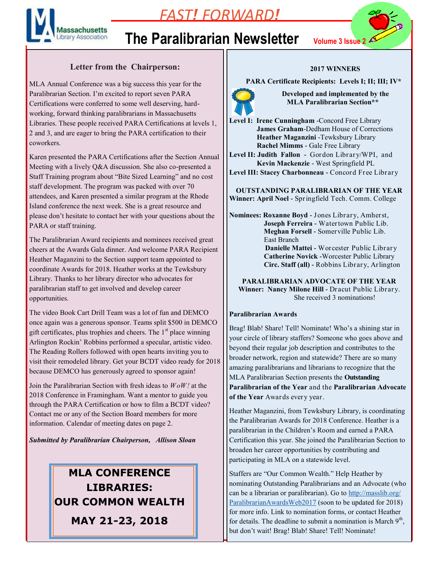

### *FAST! FORWARD!*

# **The Paralibrarian Newsletter Volume 3 Issue 2**

#### **Letter from the Chairperson:**

MLA Annual Conference was a big success this year for the Paralibrarian Section. I'm excited to report seven PARA Certifications were conferred to some well deserving, hardworking, forward thinking paralibrarians in Massachusetts Libraries. These people received PARA Certifications at levels 1, 2 and 3, and are eager to bring the PARA certification to their coworkers.

Karen presented the PARA Certifications after the Section Annual Meeting with a lively Q&A discussion. She also co-presented a Staff Training program about "Bite Sized Learning" and no cost staff development. The program was packed with over 70 attendees, and Karen presented a similar program at the Rhode Island conference the next week. She is a great resource and please don't hesitate to contact her with your questions about the PARA or staff training.

The Paralibrarian Award recipients and nominees received great cheers at the Awards Gala dinner. And welcome PARA Recipient Heather Maganzini to the Section support team appointed to coordinate Awards for 2018. Heather works at the Tewksbury Library. Thanks to her library director who advocates for paralibrarian staff to get involved and develop career opportunities.

The video Book Cart Drill Team was a lot of fun and DEMCO once again was a generous sponsor. Teams split \$500 in DEMCO gift certificates, plus trophies and cheers. The  $1<sup>st</sup>$  place winning Arlington Rockin' Robbins performed a specular, artistic video. The Reading Rollers followed with open hearts inviting you to visit their remodeled library. Get your BCDT video ready for 2018 because DEMCO has generously agreed to sponsor again!

Join the Paralibrarian Section with fresh ideas to *WoW!* at the 2018 Conference in Framingham. Want a mentor to guide you through the PARA Certification or how to film a BCDT video? Contact me or any of the Section Board members for more information. Calendar of meeting dates on page 2.

*Submitted by Paralibrarian Chairperson, Allison Sloan*

### **MLA CONFERENCE LIBRARIES: OUR COMMON WEALTH MAY 21-23, 2018**

#### **2017 WINNERS**

 **PARA Certificate Recipients: Levels I; II; III; IV\***



 **Developed and implemented by the MLA Paralibrarian Section\*\***

**Level I: Irene Cunningham** -Concord Free Library **James Graham**-Dedham House of Corrections **Heather Maganzini** -Tewksbury Library **Rachel Mimms** - Gale Free Library

**Level II: Judith Fallon -** Gordon Library/WPI, and **Kevin Mackenzie** - West Springfield PL

**Level III: Stacey Charbonneau -** Concord Free Library

**OUTSTANDING PARALIBRARIAN OF THE YEAR Winner: April Noel -** Springfield Tech. Comm. College

**Nominees: Roxanne Boyd -** Jones Library, Amherst, **Joseph Ferreira -** Watertown Public Lib. **Meghan Forsell -** Somerville Public Lib. East Branch **Danielle Mattei -** Worcester Public Library **Catherine Novick -**Worcester Public Library **Circ. Staff (all) -** Robbins Library, Arlington

**PARALIBRARIAN ADVOCATE OF THE YEAR Winner: Nancy Milone Hill -** Dracut Public Library. She received 3 nominations!

#### **Paralibrarian Awards**

Brag! Blab! Share! Tell! Nominate! Who's a shining star in your circle of library staffers? Someone who goes above and beyond their regular job description and contributes to the broader network, region and statewide? There are so many amazing paralibrarians and librarians to recognize that the MLA Paralibrarian Section presents the **Outstanding Paralibrarian of the Year** and the **Paralibrarian Advocate of the Year** Awards every year.

Heather Maganzini, from Tewksbury Library, is coordinating the Paralibrarian Awards for 2018 Conference. Heather is a paralibrarian in the Children's Room and earned a PARA Certification this year. She joined the Paralibrarian Section to broaden her career opportunities by contributing and participating in MLA on a statewide level.

Staffers are "Our Common Wealth." Help Heather by nominating Outstanding Paralibrarians and an Advocate (who can be a librarian or paralibrarian). Go to [http://masslib.org/](http://masslib.org/ParalibrarianAwardsWeb2017) [ParalibrarianAwardsWeb2017](http://masslib.org/ParalibrarianAwardsWeb2017) (soon to be updated for 2018) for more info. Link to nomination forms, or contact Heather for details. The deadline to submit a nomination is March  $9<sup>th</sup>$ , but don't wait! Brag! Blab! Share! Tell! Nominate!